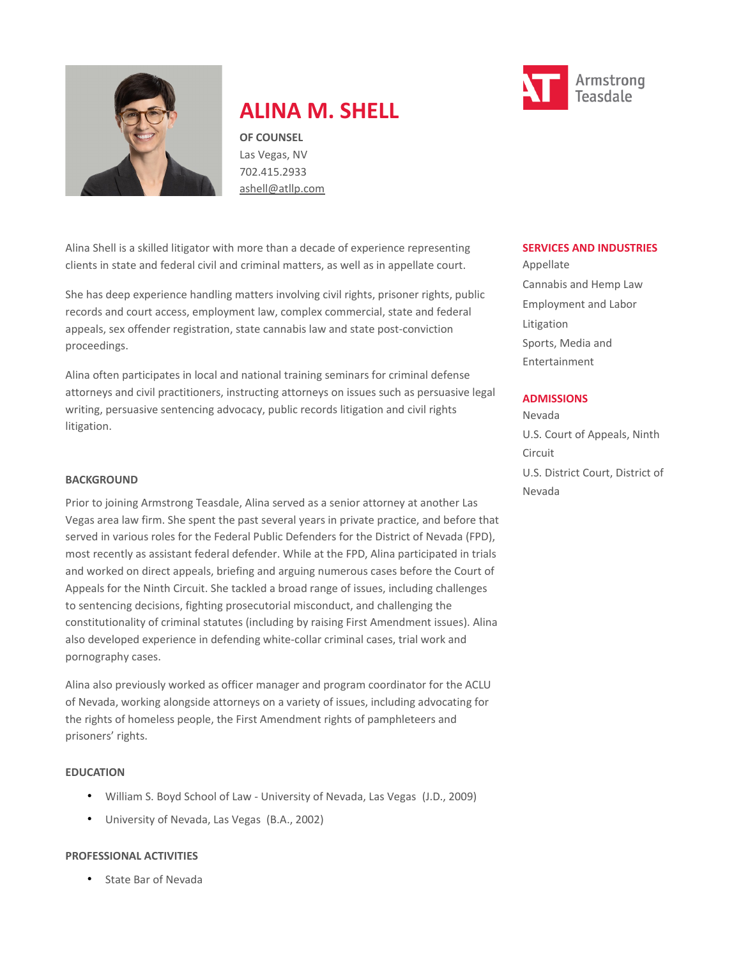

# **ALINA M. SHELL**

**OF COUNSEL** Las Vegas, NV 702.415.2933 [ashell@atllp.com](mailto:ashell@atllp.com)

Alina Shell is a skilled litigator with more than a decade of experience representing clients in state and federal civil and criminal matters, as well as in appellate court.

She has deep experience handling matters involving civil rights, prisoner rights, public records and court access, employment law, complex commercial, state and federal appeals, sex offender registration, state cannabis law and state post-conviction proceedings.

Alina often participates in local and national training seminars for criminal defense attorneys and civil practitioners, instructing attorneys on issues such as persuasive legal writing, persuasive sentencing advocacy, public records litigation and civil rights litigation.

#### **BACKGROUND**

Prior to joining Armstrong Teasdale, Alina served as a senior attorney at another Las Vegas area law firm. She spent the past several years in private practice, and before that served in various roles for the Federal Public Defenders for the District of Nevada (FPD), most recently as assistant federal defender. While at the FPD, Alina participated in trials and worked on direct appeals, briefing and arguing numerous cases before the Court of Appeals for the Ninth Circuit. She tackled a broad range of issues, including challenges to sentencing decisions, fighting prosecutorial misconduct, and challenging the constitutionality of criminal statutes (including by raising First Amendment issues). Alina also developed experience in defending white-collar criminal cases, trial work and pornography cases.

Alina also previously worked as officer manager and program coordinator for the ACLU of Nevada, working alongside attorneys on a variety of issues, including advocating for the rights of homeless people, the First Amendment rights of pamphleteers and prisoners' rights.

#### **EDUCATION**

- William S. Boyd School of Law University of Nevada, Las Vegas (J.D., 2009)
- University of Nevada, Las Vegas (B.A., 2002)

#### **PROFESSIONAL ACTIVITIES**

• State Bar of Nevada



#### **SERVICES AND INDUSTRIES**

Appellate Cannabis and Hemp Law Employment and Labor Litigation Sports, Media and Entertainment

#### **ADMISSIONS**

Nevada U.S. Court of Appeals, Ninth Circuit U.S. District Court, District of Nevada